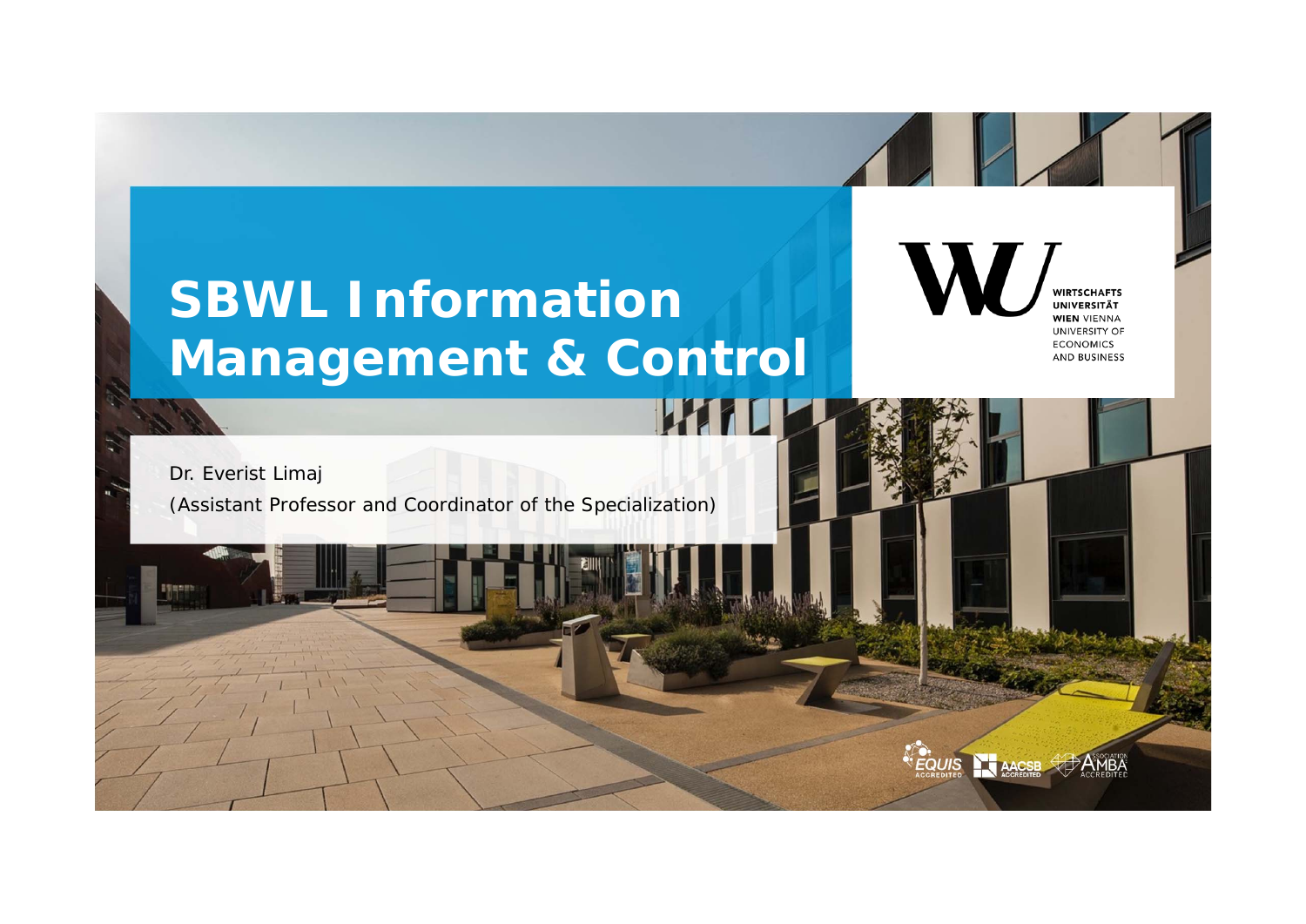# **SBWL Information Management & Control**

**WHI** 

**WIRTSCHAFTS UNIVERSITÄT WIEN VIENNA UNIVERSITY OF ECONOMICS AND BUSINESS** 

Dr. Everist Limaj (Assistant Professor and Coordinator of the Specialization)

**EQUIS**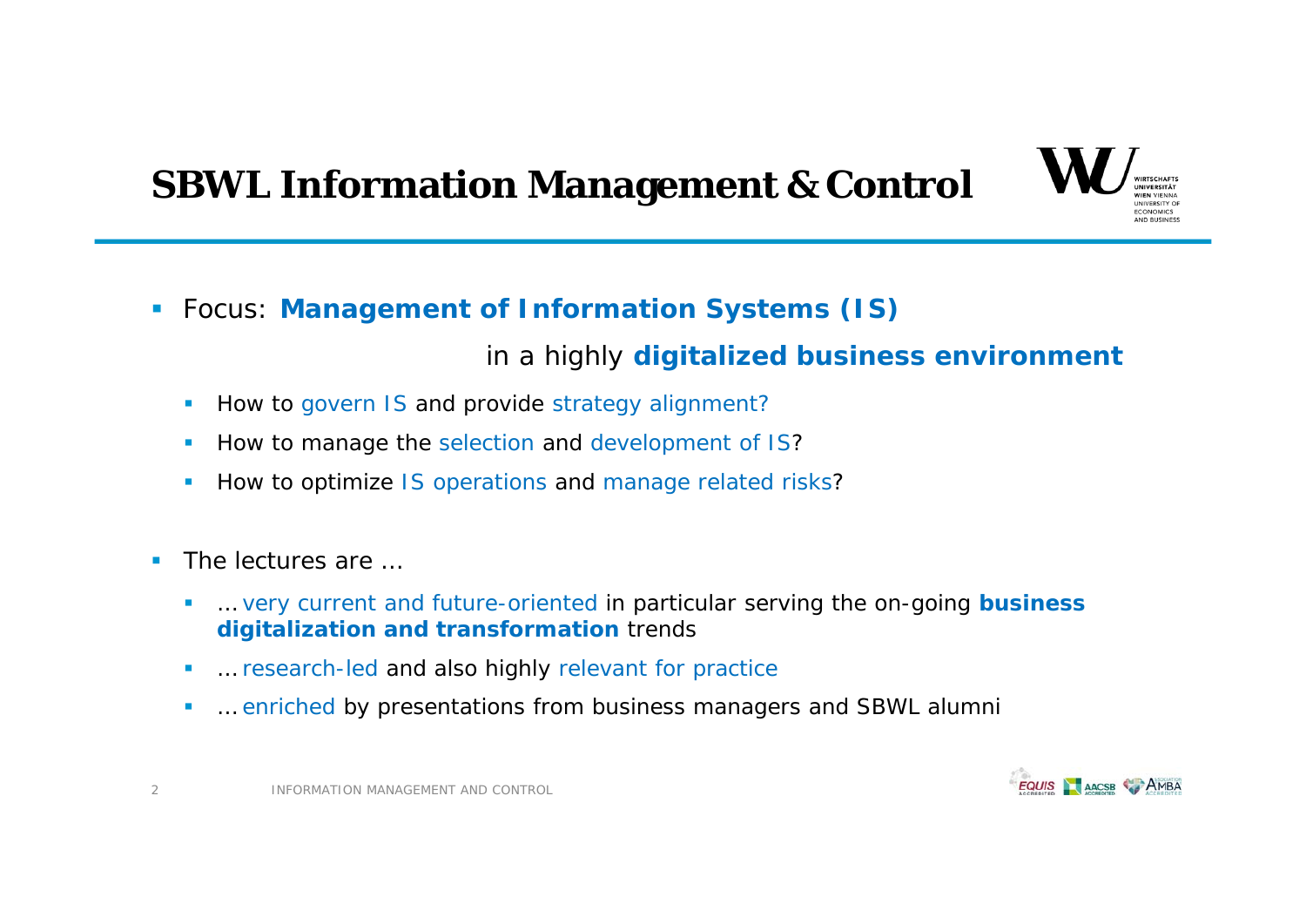# **SBWL Information Management & Control**



Focus: **Management of Information Systems (IS)** 

### in a highly **digitalized business environment**

- I. How to govern IS and provide strategy alignment?
- $\overline{\phantom{a}}$ How to manage the selection and development of IS?
- Ī. How to optimize IS operations and manage related risks?
- $\overline{\phantom{a}}$  The lectures are …
	- г … very current and future-oriented in particular serving the on-going **business digitalization and transformation** trends
	- $\overline{\phantom{a}}$ … research-led and also highly relevant for practice
	- $\overline{\phantom{a}}$ … enriched by presentations from business managers and SBWL alumni



2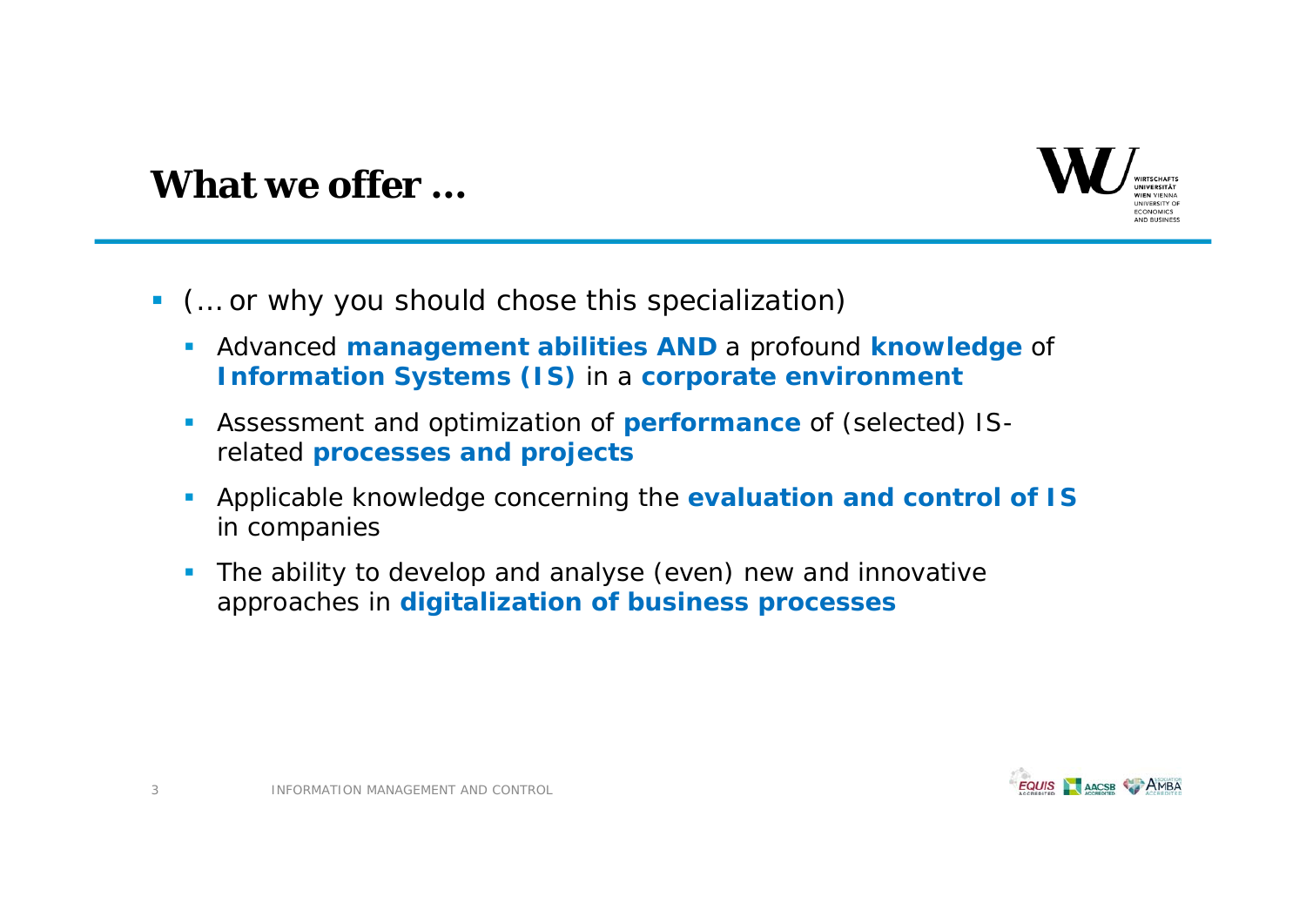

### **What we offer …**

- (… or why you should chose this specialization)
	- Advanced **management abilities AND** a profound **knowledge** of **Information Systems (IS)** in a **corporate environment**
	- $\mathcal{L}_{\mathcal{A}}$  Assessment and optimization of **performance** of (selected) ISrelated **processes and projects**
	- $\mathcal{L}_{\mathcal{A}}$  Applicable knowledge concerning the **evaluation and control of IS**  in companies
	- $\overline{\phantom{a}}$  The ability to develop and analyse (even) new and innovative approaches in **digitalization of business processes**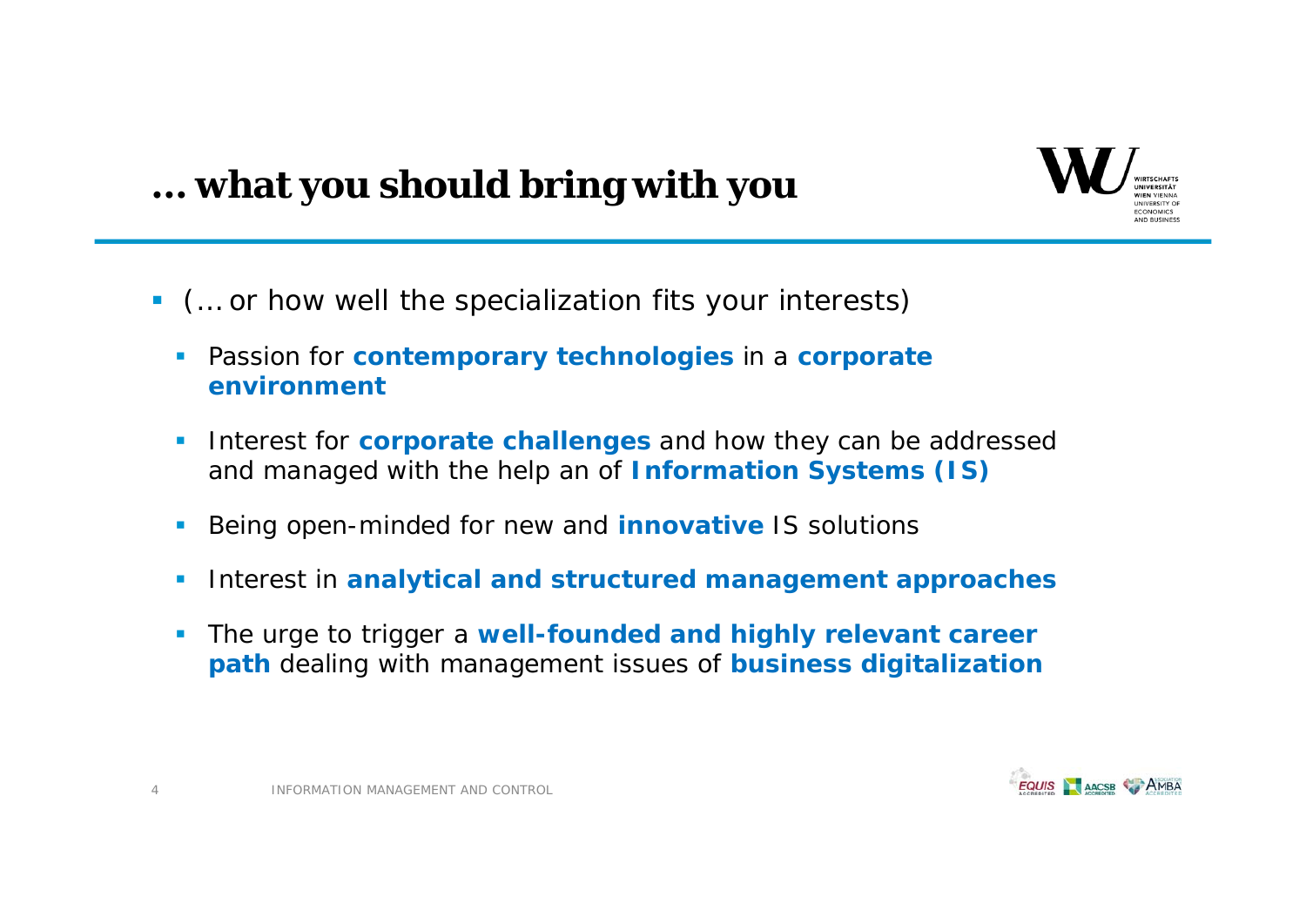

# **… what you should bring with you**

- (… or how well the specialization fits your interests)
	- $\mathcal{L}_{\rm{eff}}$  Passion for **contemporary technologies** in a **corporate environment**
	- $\mathcal{L}_{\mathcal{A}}$  Interest for **corporate challenges** and how they can be addressed and managed with the help an of **Information Systems (IS)**
	- Being open-minded for new and **innovative** IS solutions
	- Interest in **analytical and structured management approaches**
	- Г The urge to trigger a **well-founded and highly relevant career path** dealing with management issues of **business digitalization**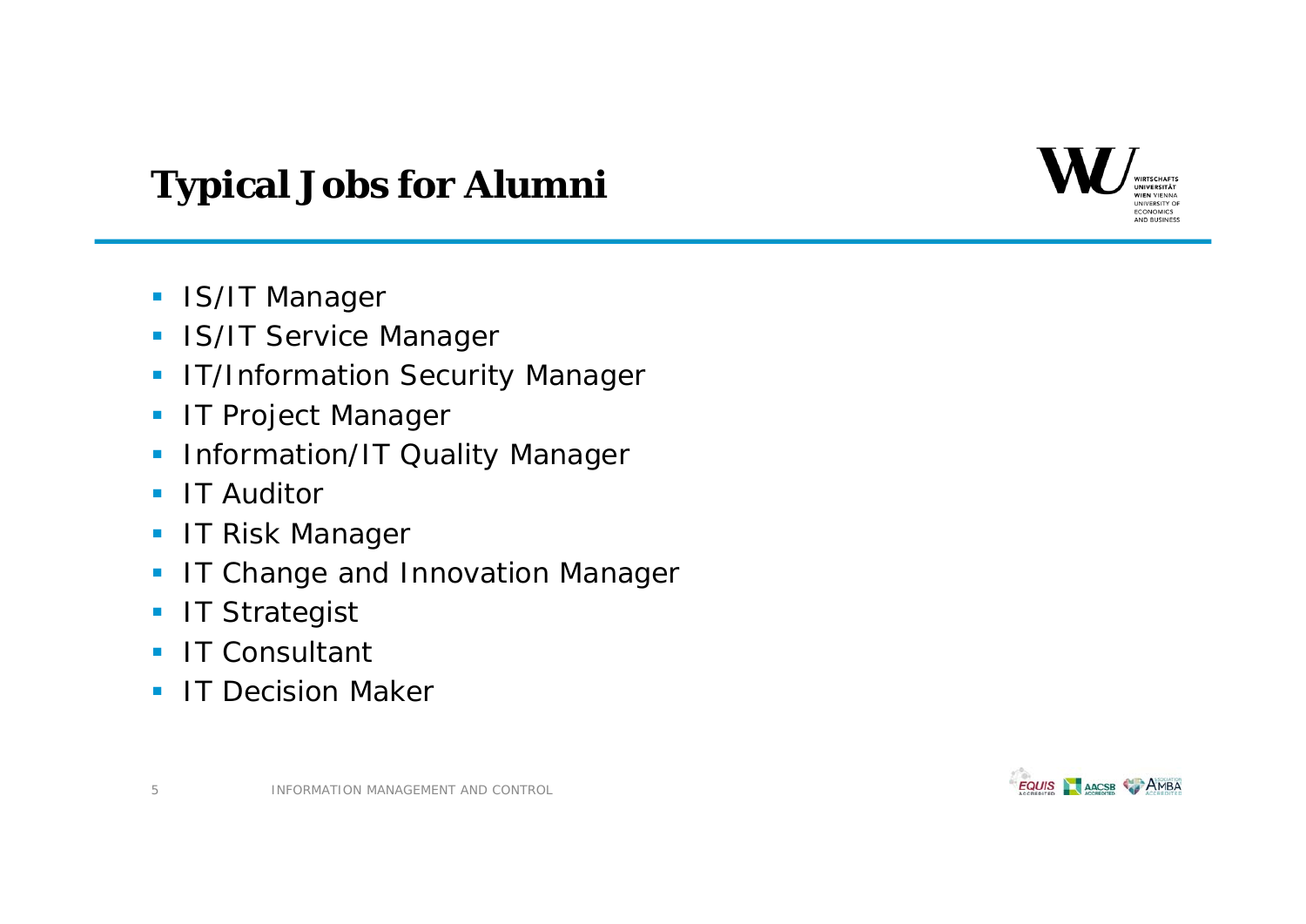### **VIEN VIENNA ECONOMICS** AND BUSINESS

# **Typical Jobs for Alumni**

- **IS/IT Manager**
- **IS/IT Service Manager**
- IT/Information Security Manager
- IT Project Manager
- $\blacksquare$ Information/IT Quality Manager
- $\mathcal{L}_{\mathcal{A}}$ IT Auditor
- $\mathcal{L}_{\mathcal{A}}$ IT Risk Manager
- $\mathbf{E}^{\text{max}}$ IT Change and Innovation Manager
- **IT Strategist**
- $\mathbf{r}$ IT Consultant
- ٠ IT Decision Maker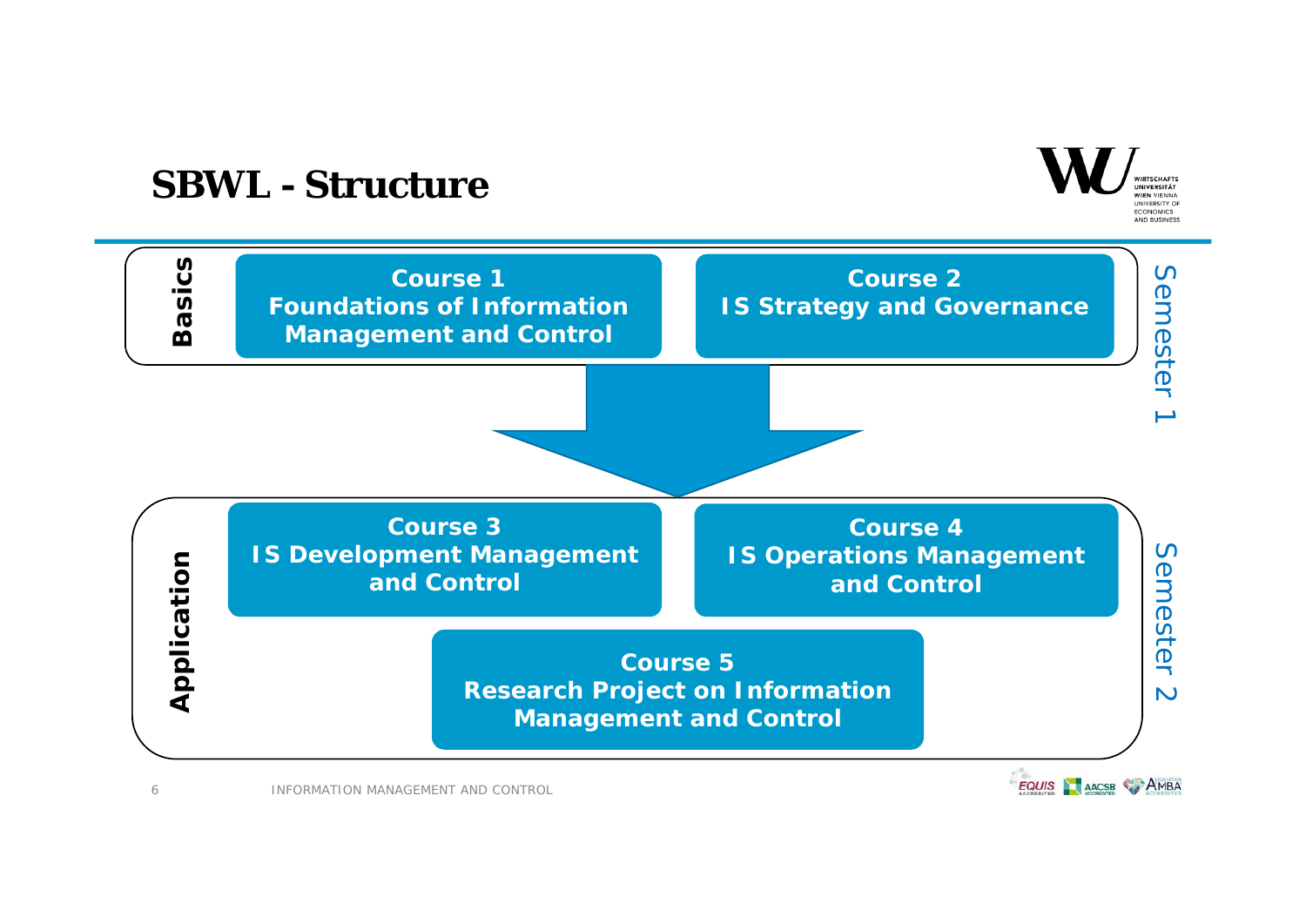## **SBWL - Structure**





INFORMATION MANAGEMENT AND CONTROL

6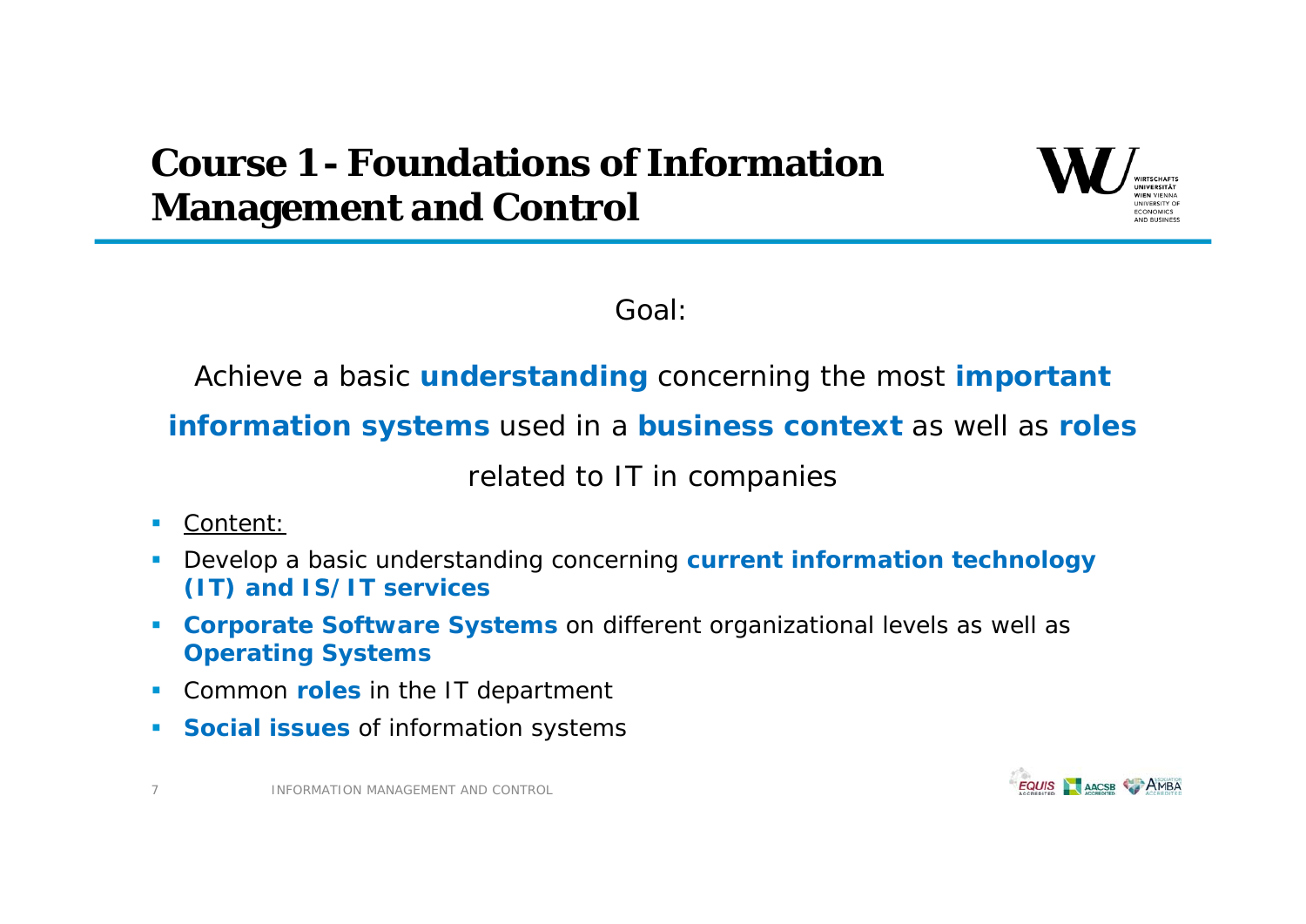# **Course 1 - Foundations of Information Management and Control**



Goal:

Achieve a basic **understanding** concerning the most **important** 

**information systems** used in a **business context** as well as **roles**

related to IT in companies

- г Content:
- Г Develop a basic understanding concerning **current information technology (IT) and IS/IT services**
- **Corporate Software Systems** on different organizational levels as well as **Operating Systems**
- $\mathcal{L}_{\mathcal{A}}$ **Common roles** in the IT department
- **Social issues** of information systems

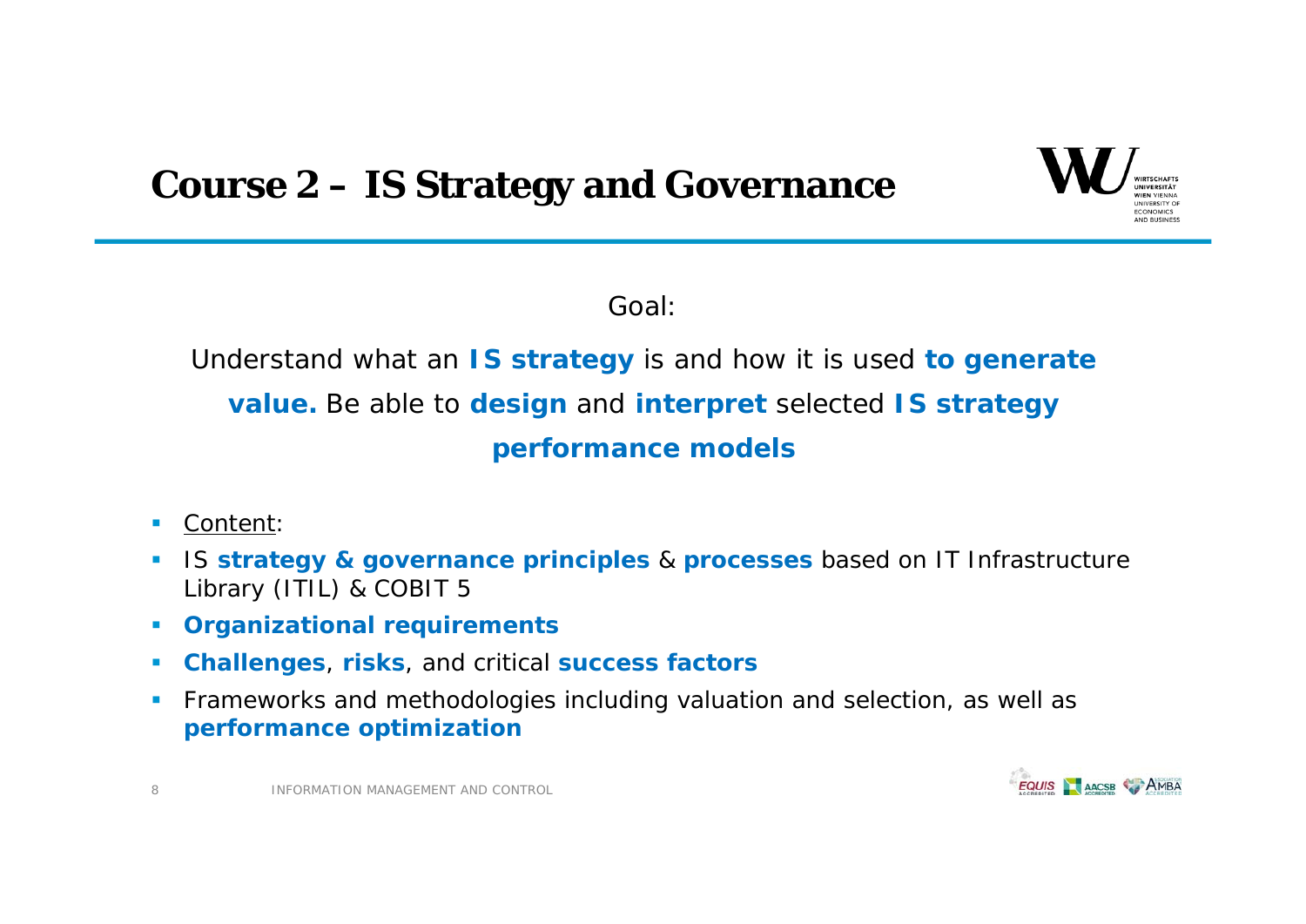



Goal:

Understand what an **IS strategy** is and how it is used **to generate value.** Be able to **design** and **interpret** selected **IS strategy performance models**

- Г Content:
- IS **strategy & governance principles** & **processes** based on IT Infrastructure Library (ITIL) & COBIT 5
- **Organizational requirements**
- $\mathcal{L}_{\mathcal{A}}$ **Challenges**, **risks**, and critical **success factors**
- $\blacksquare$  Frameworks and methodologies including valuation and selection, as well as **performance optimization**



INFORMATION MANAGEMENT AND CONTROL

8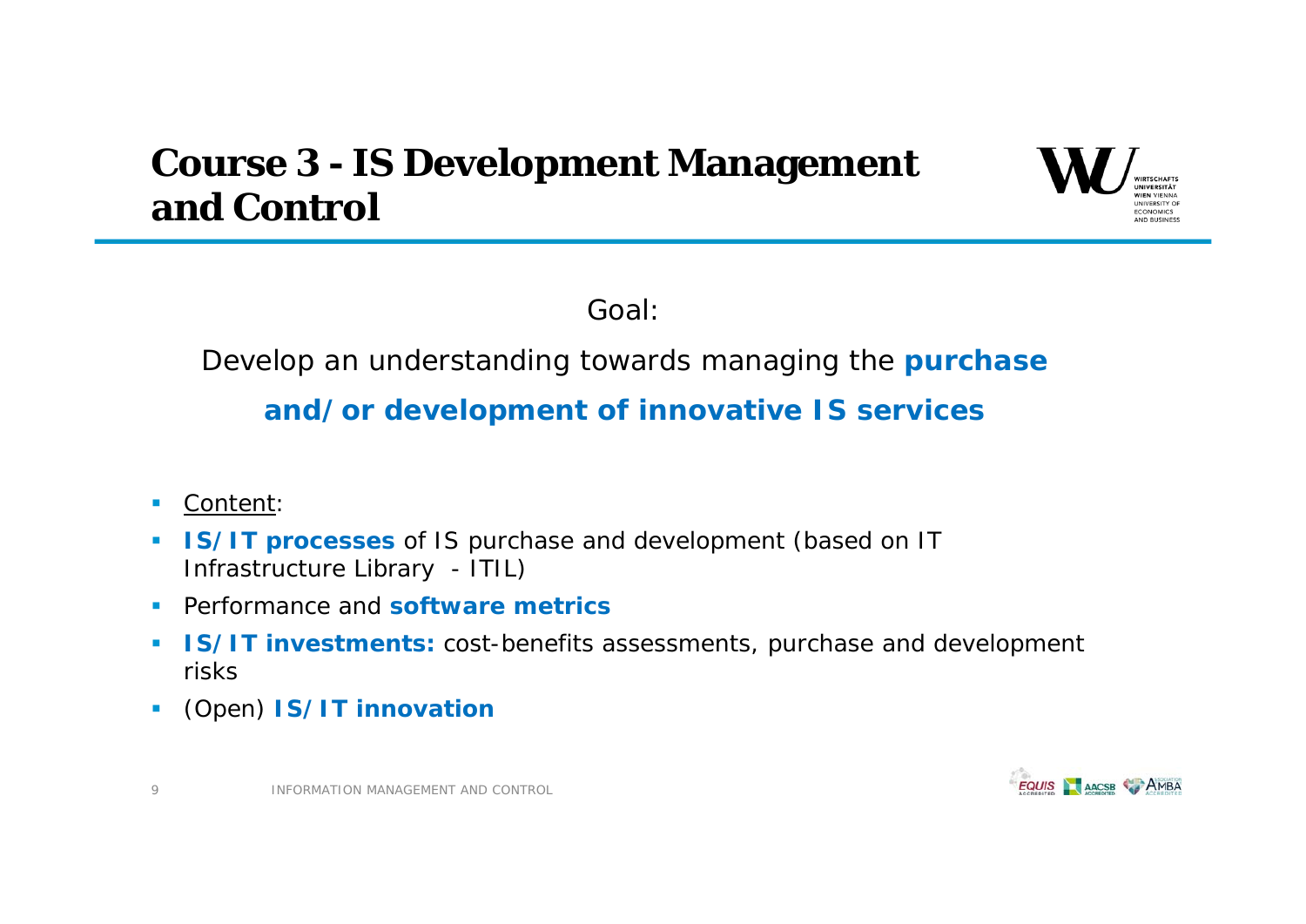# **Course 3 - IS Development Management and Control**



Goal:

### Develop an understanding towards managing the **purchase**

### **and/or development of innovative IS services**

Content:

9

- **IS/IT processes** of IS purchase and development (based on IT Infrastructure Library - ITIL)
- $\mathcal{L}_{\mathcal{A}}$ Performance and **software metrics**
- **IS/IT investments:** cost-benefits assessments, purchase and development risks
- $\mathbf{r}$ (Open) **IS/IT innovation**

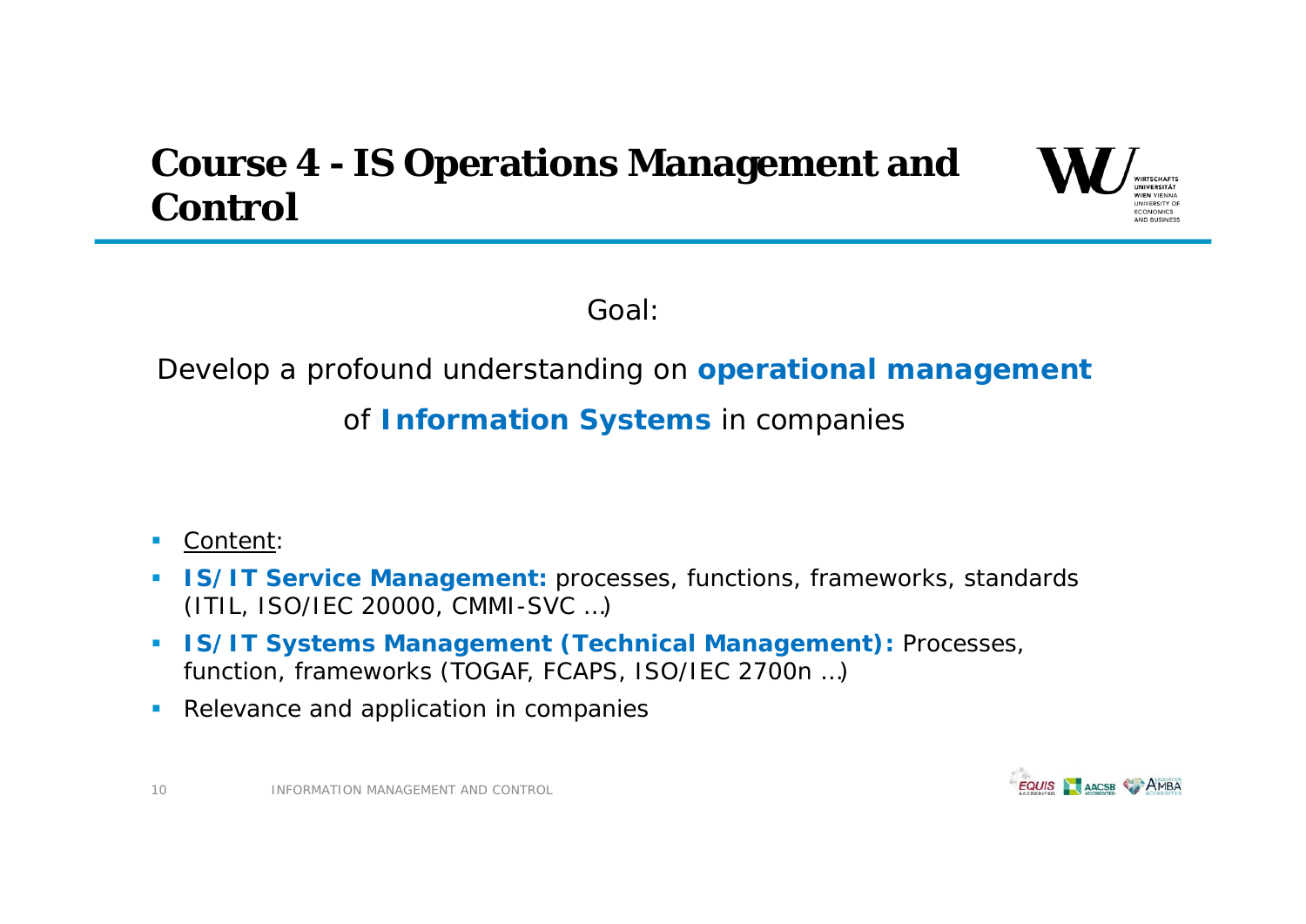# **Course 4 - IS Operations Management and Control**



Goal:

### Develop a profound understanding on **operational management**

of **Information Systems** in companies

- $\mathcal{L}_{\mathcal{A}}$ Content:
- **IS/IT Service Management:** processes, functions, frameworks, standards (ITIL, ISO/IEC 20000, CMMI-SVC …)
- **IS/IT Systems Management (Technical Management):** Processes, function, frameworks (TOGAF, FCAPS, ISO/IEC 2700n …)
- $\mathcal{L}_{\mathcal{A}}$ Relevance and application in companies

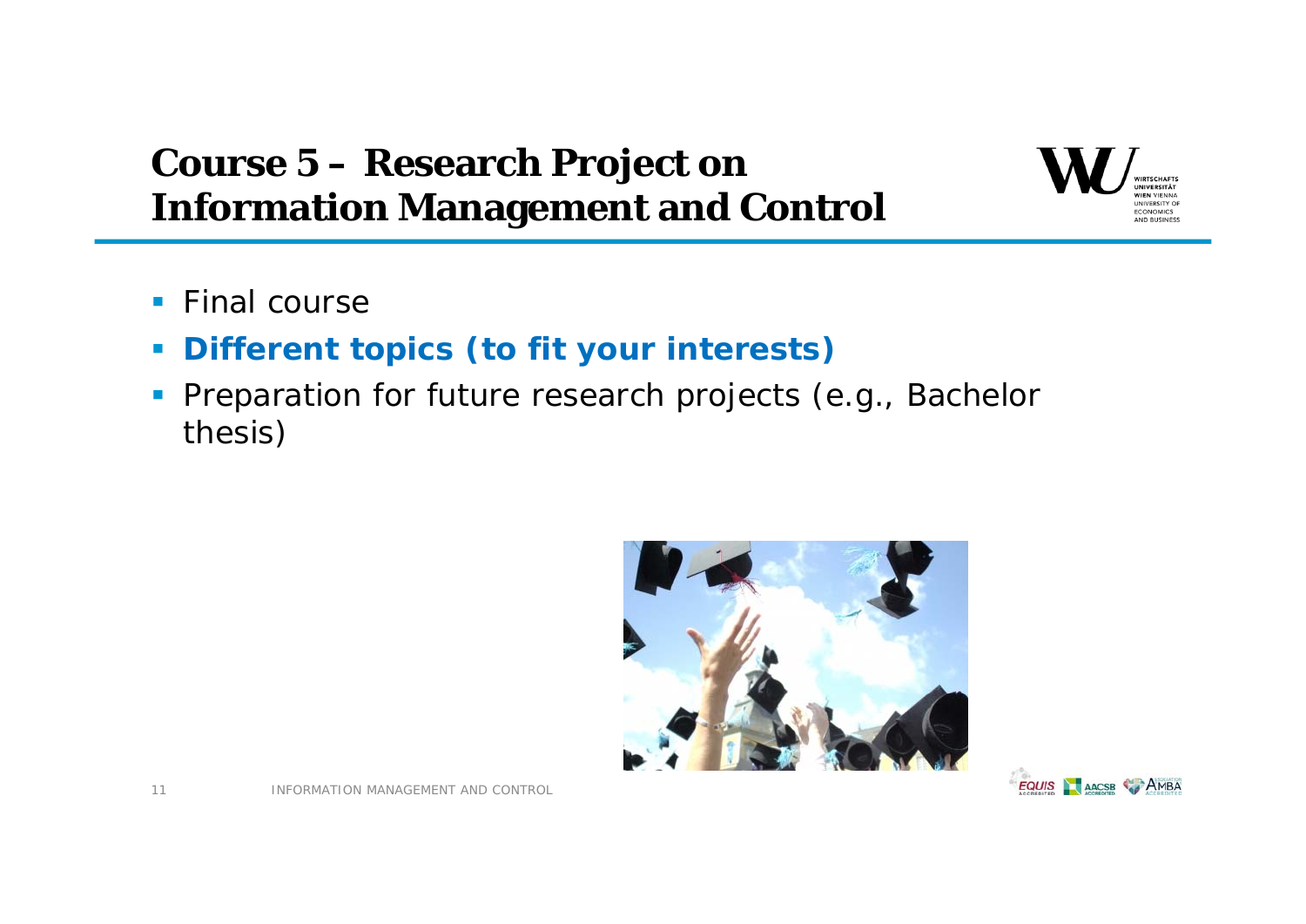# **Course 5 – Research Project on Information Management and Control**



- **Final course**
- $\vert \cdot \vert$ **Different topics (to fit your interests)**
- **Preparation for future research projects (e.g., Bachelor** thesis)



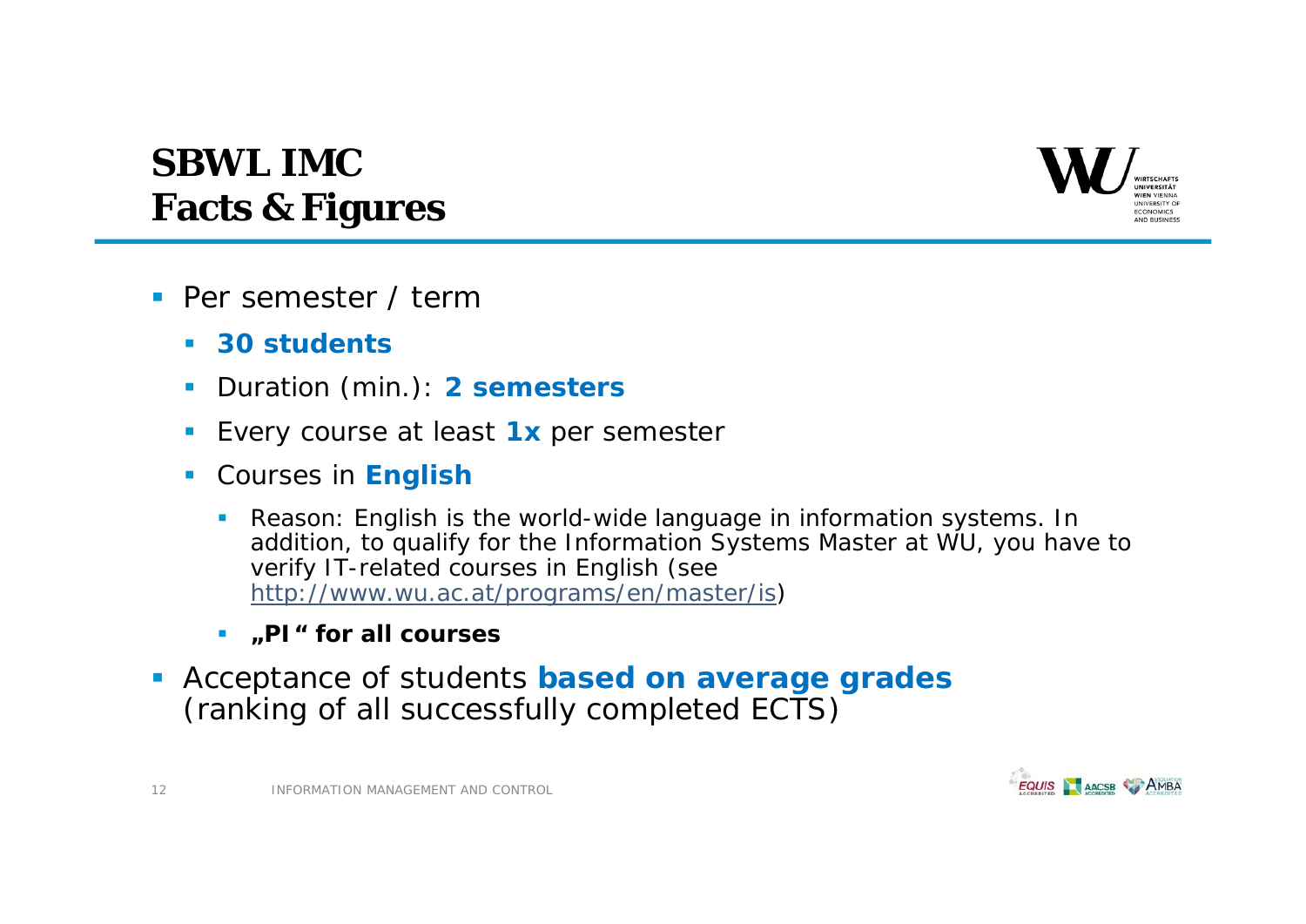

# **SBWL IMCFacts & Figures**

- **Per semester / term** 
	- $\mathcal{L}_{\mathcal{A}}$ **30 students**
	- **I** Duration (min.): **2 semesters**
	- Every course at least **1x** per semester
	- Courses in **English**
		- $\overline{\phantom{a}}$  *Reason: English is the world-wide language in information systems. In addition, to qualify for the Information Systems Master at WU, you have to verify IT-related courses in English* (see http://www.wu.ac.at/programs/en/master/is)
		- **"PI" for all courses**
- Acceptance of students **based on average grades**  (ranking of all successfully completed ECTS)

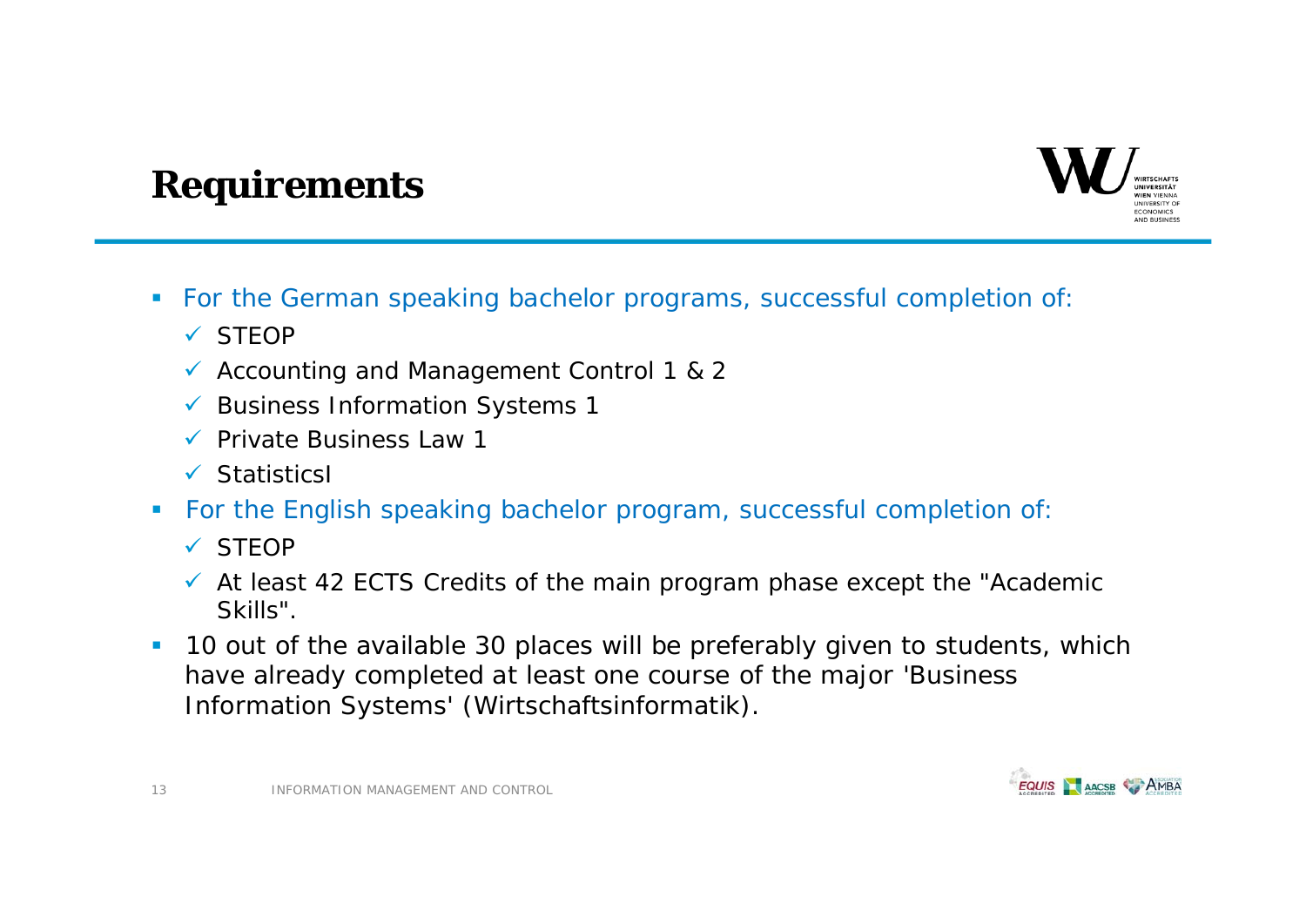# CONOMICS AND RUSINESS

## **Requirements**

- For the German speaking bachelor programs, successful completion of:
	- ✔ STEOP
	- Accounting and Management Control 1 & 2
	- $\checkmark$  Business Information Systems 1
	- $\checkmark$  Private Business Law 1
	- $\checkmark$  Statistics
- For the English speaking bachelor program, successful completion of:
	- ✔ STEOP
	- $\checkmark$  At least 42 ECTS Credits of the main program phase except the "Academic Skills".
- **10 out of the available 30 places will be preferably given to students, which** have already completed at least one course of the major 'Business Information Systems' (Wirtschaftsinformatik).

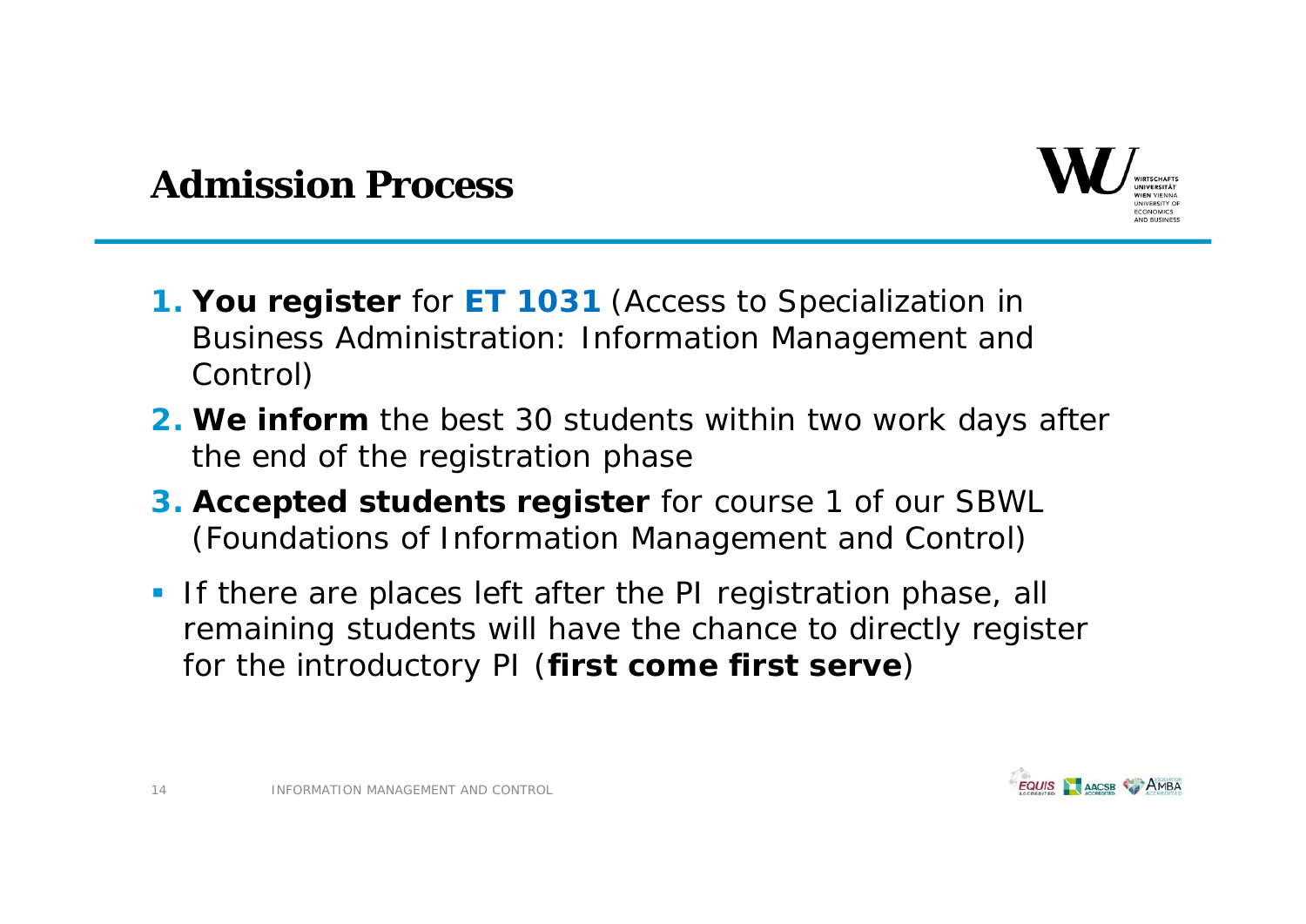

## **Admission Process**

- **1. You register** for **ET 1031** (Access to Specialization in Business Administration: Information Management and Control)
- **2. We inform** the best 30 students within two work days after the end of the registration phase
- **3. Accepted students register** for course 1 of our SBWL (Foundations of Information Management and Control)
- **If there are places left after the PI registration phase, all** remaining students will have the chance to directly register for the introductory PI (**first come first serve**)

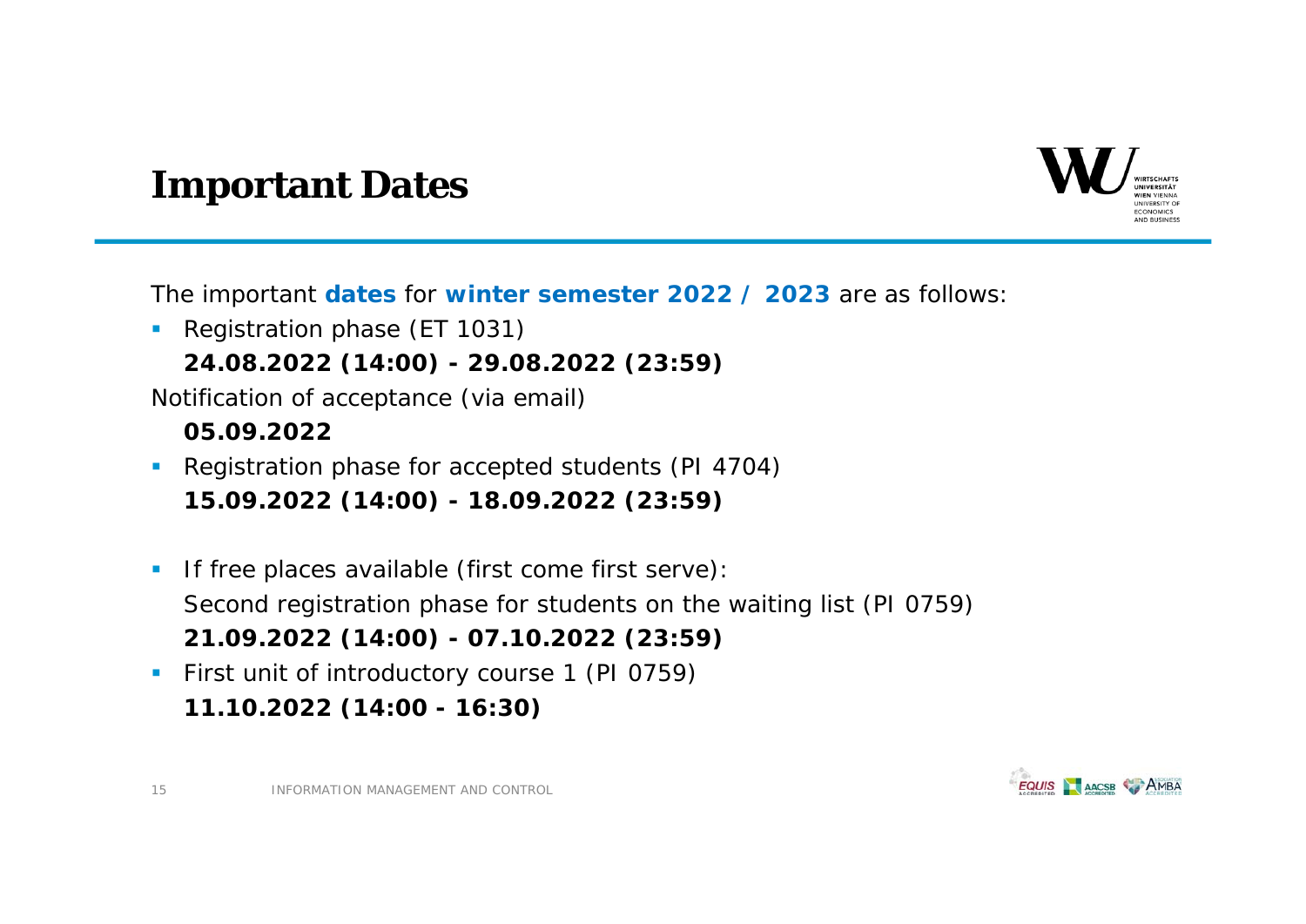

### **Important Dates**

The important **dates** for **winter semester 2022 / 2023** are as follows:

**Registration phase (ET 1031) 24.08.2022 (14:00) - 29.08.2022 (23:59)**

Notification of acceptance (via email)

#### **05.09.2022**

- **Registration phase for accepted students (PI 4704) 15.09.2022 (14:00) - 18.09.2022 (23:59)**
- $\mathcal{L}_{\mathcal{A}}$  *If free places available (first come first serve):* Second registration phase for students on the waiting list (PI 0759) **21.09.2022 (14:00) - 07.10.2022 (23:59)**
- **First unit of introductory course 1 (PI 0759) 11.10.2022 (14:00 - 16:30)**

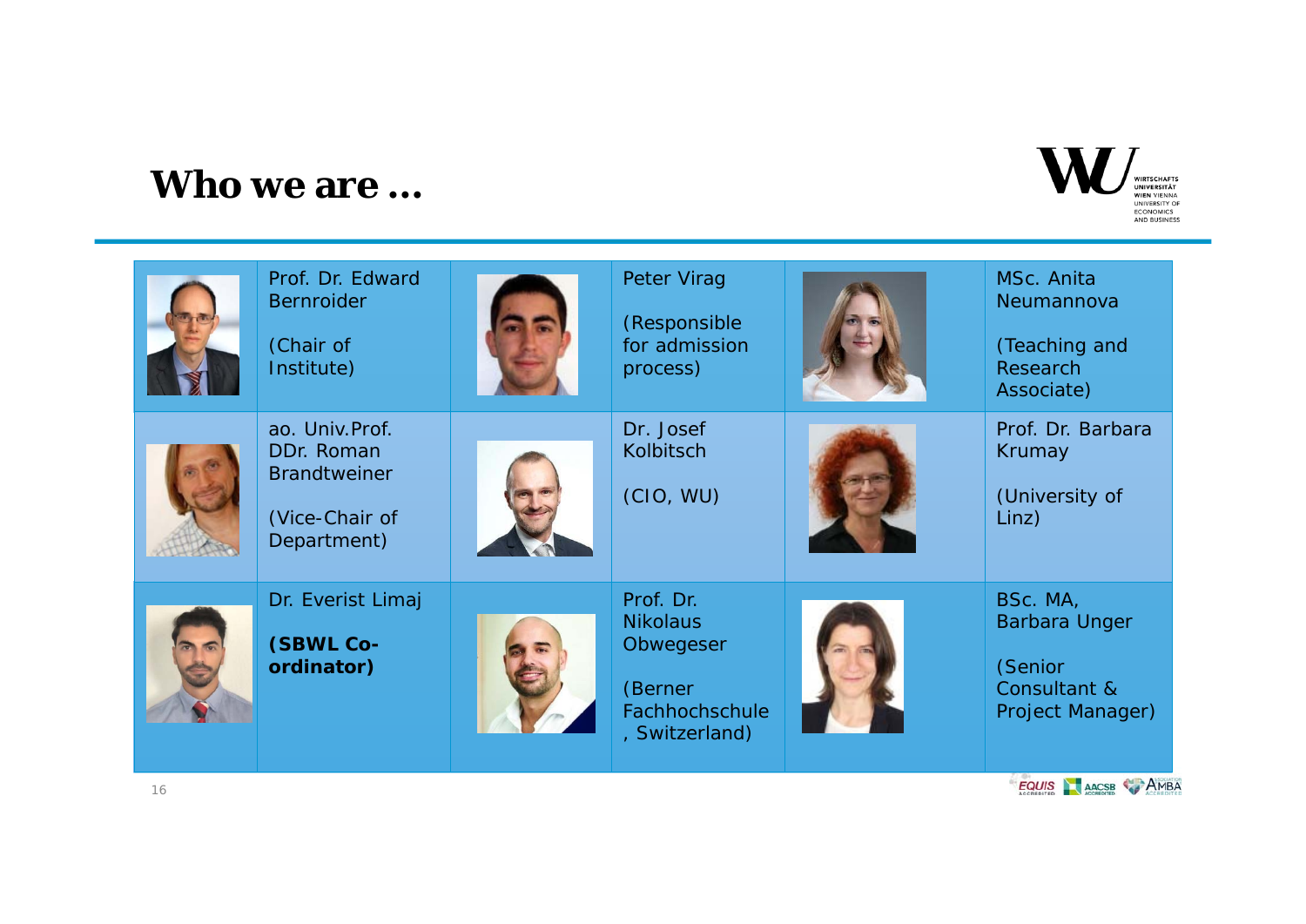### **Who we are …**



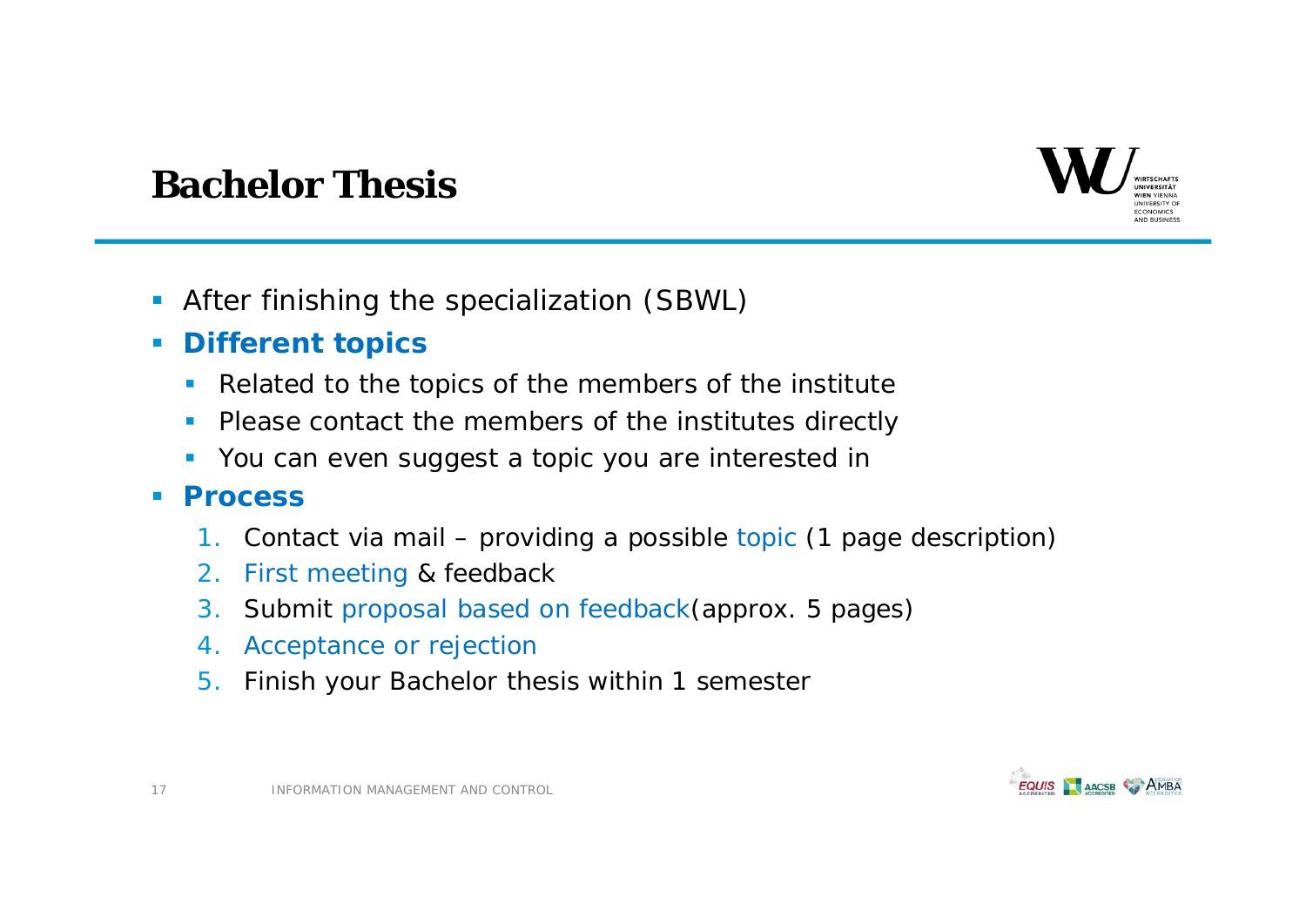

## **Bachelor Thesis**

- After finishing the specialization (SBWL)
- $\overline{\phantom{a}}$  **Different topics**
	- $\mathcal{L}_{\mathcal{A}}$ Related to the topics of the members of the institute
	- г Please contact the members of the institutes directly
	- **You can even suggest a topic you are interested in**

#### $\mathcal{L}_{\mathcal{A}}$ **Process**

- 1.Contact via mail – providing a possible topic (1 page description)
- 2.First meeting & feedback
- 3.. Submit proposal based on feedback(approx. 5 pages)
- 4. Acceptance or rejection
- 5. Finish your Bachelor thesis within 1 semester

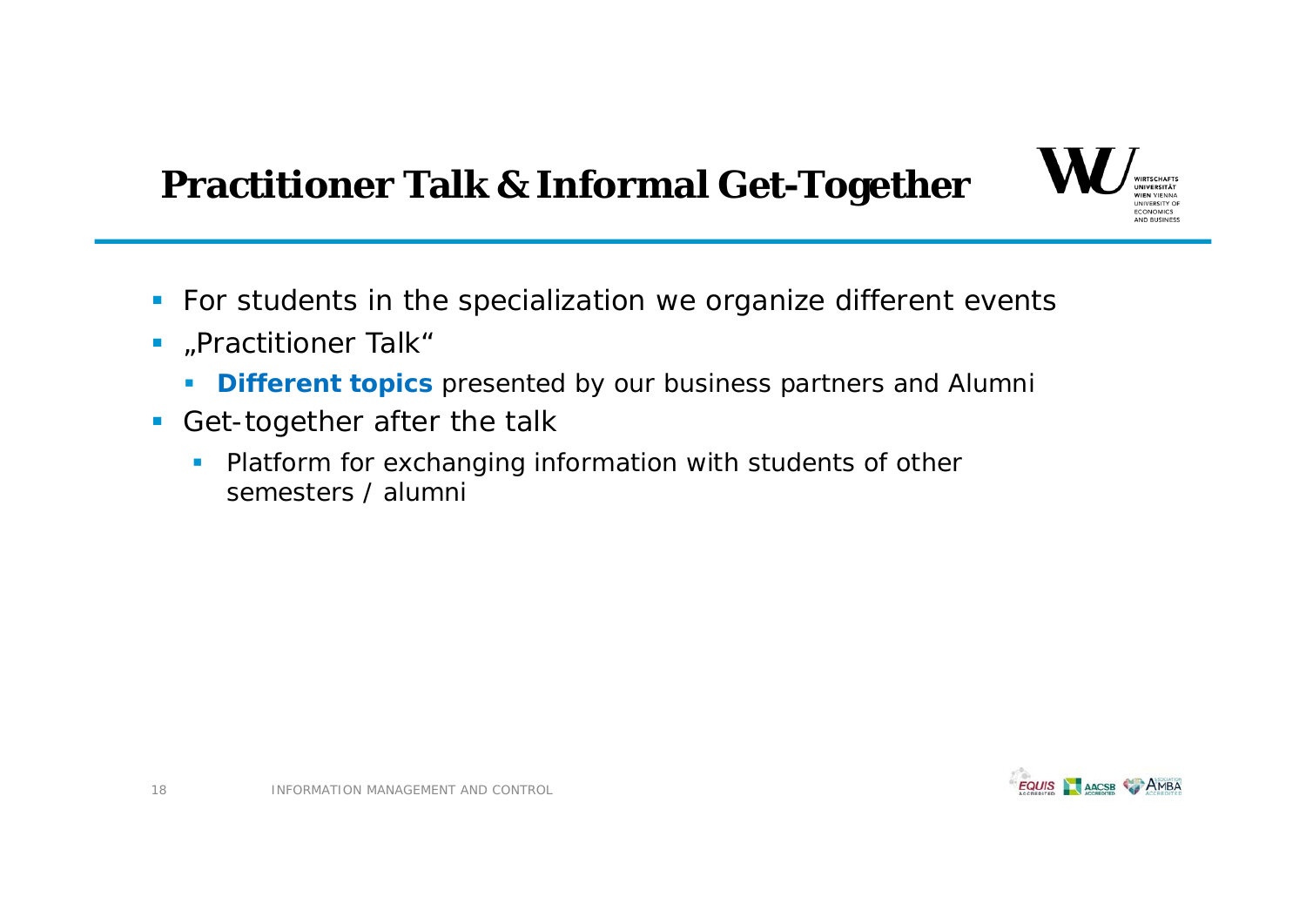# **Practitioner Talk & Informal Get-Together**



- **For students in the specialization we organize different events**
- $\blacksquare$  "Practitioner Talk"
	- $\mathcal{L}_{\mathcal{A}}$ **Different topics** presented by our business partners and Alumni
- Get-together after the talk
	- $\overline{\phantom{a}}$  Platform for exchanging information with students of other semesters / alumni

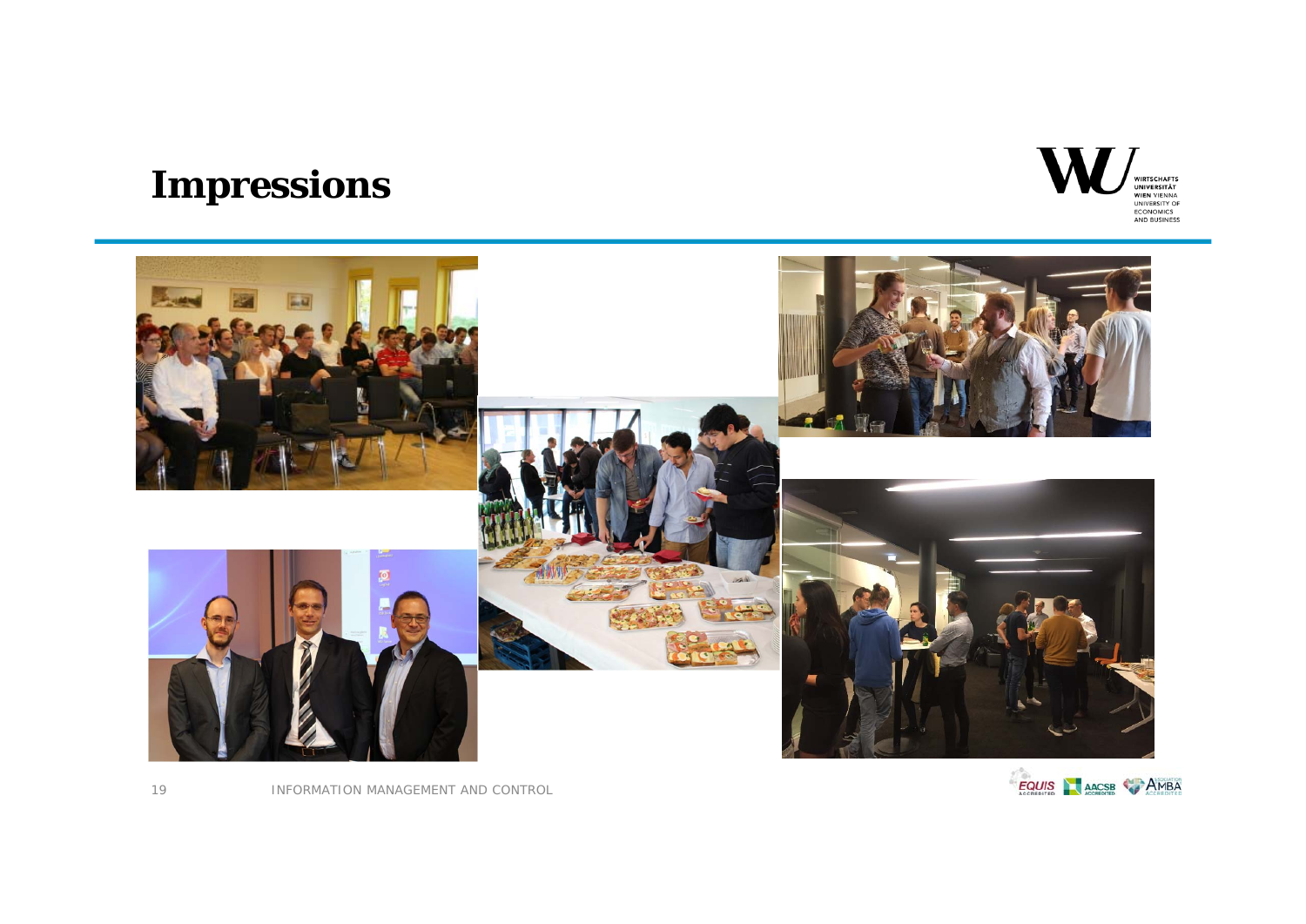# **Impressions**





INFORMATION MANAGEMENT AND CONTROL



19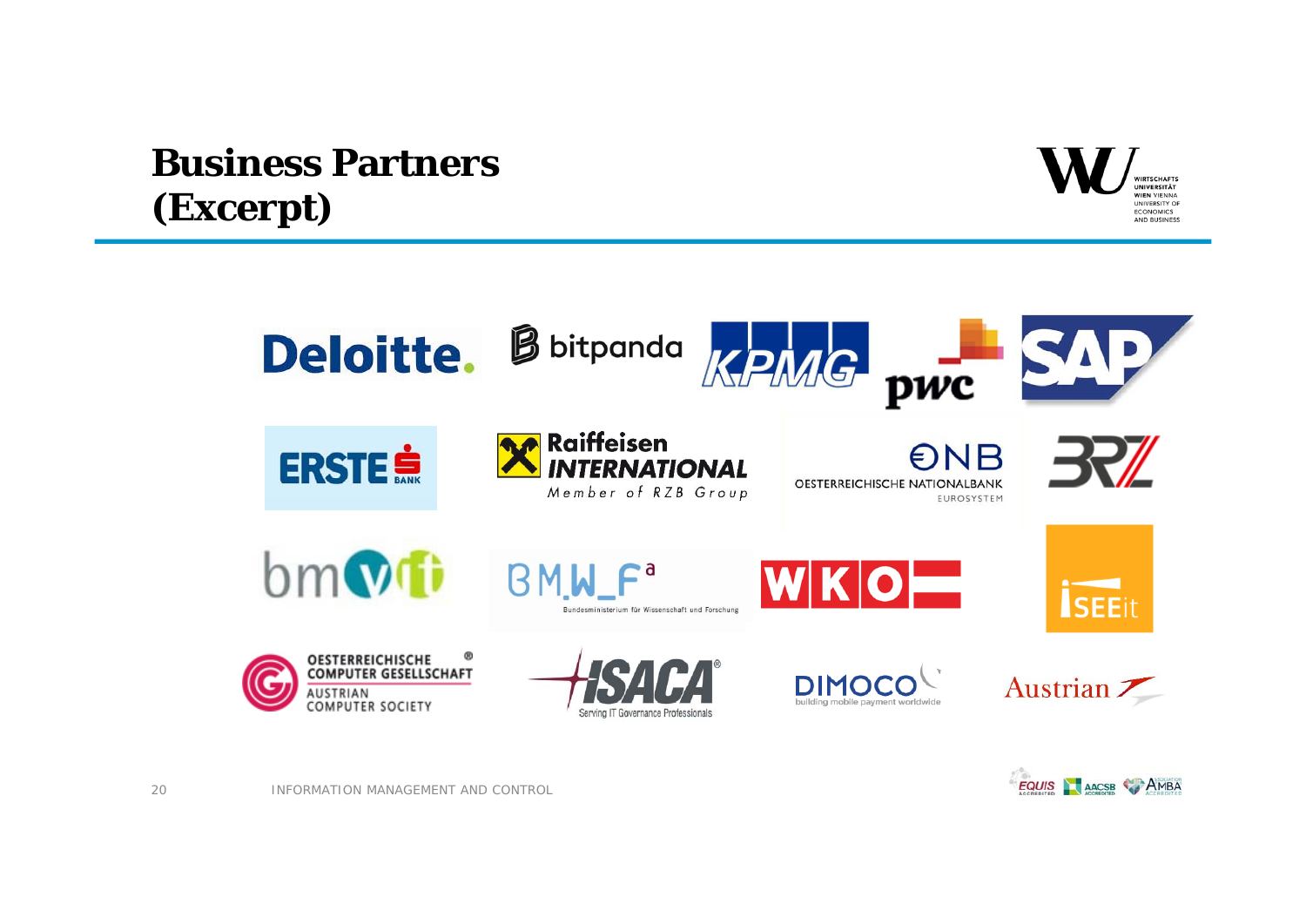# **Business Partners(Excerpt)**





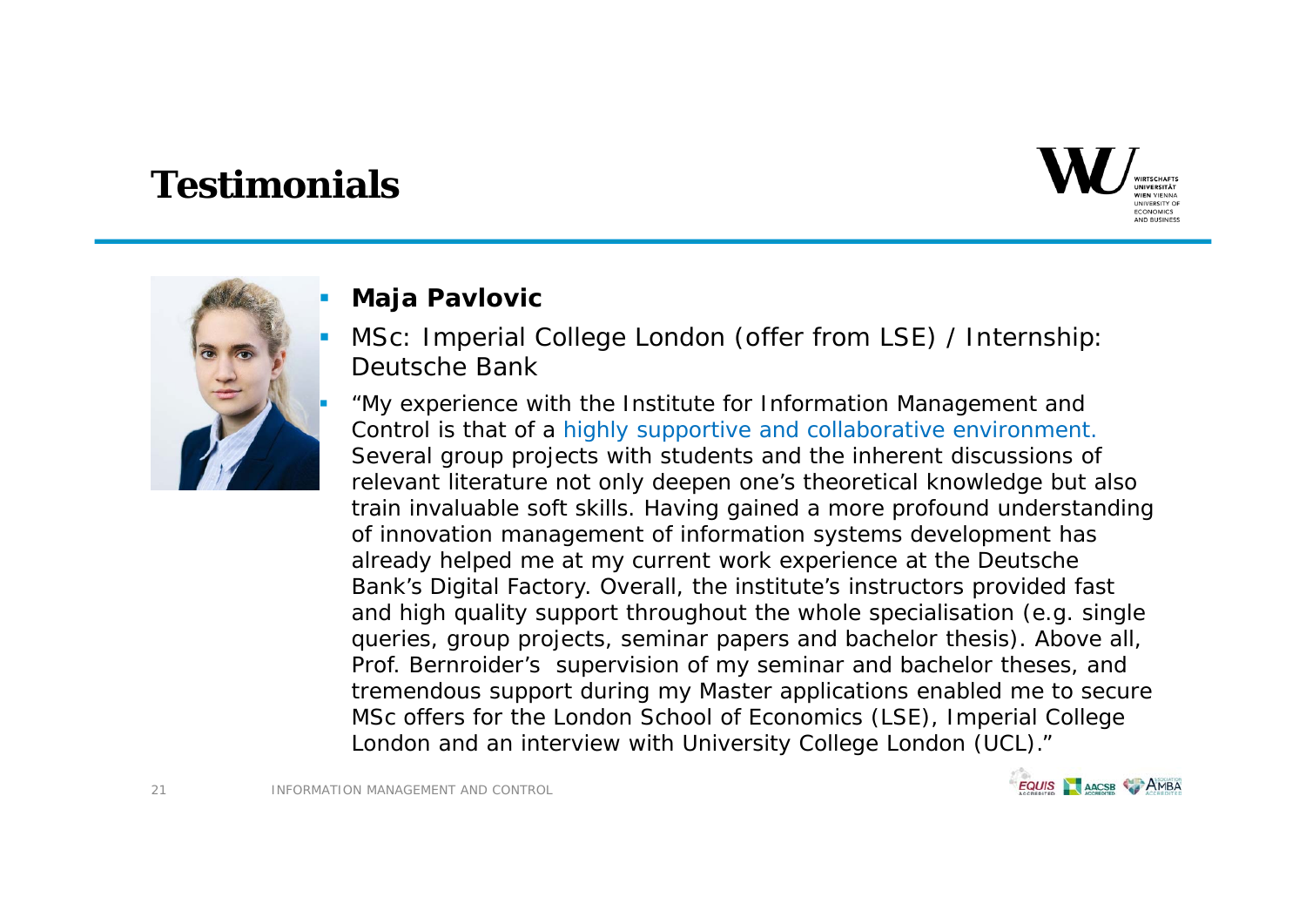![](_page_20_Picture_1.jpeg)

![](_page_20_Picture_2.jpeg)

### **Maja Pavlovic**

- П MSc: Imperial College London (offer from LSE) / Internship: Deutsche Bank
	- "My experience with the Institute for Information Management and Control is that of a highly supportive and collaborative environment. Several group projects with students and the inherent discussions of relevant literature not only deepen one's theoretical knowledge but also train invaluable soft skills. Having gained a more profound understanding of innovation management of information systems development has already helped me at my current work experience at the Deutsche Bank's Digital Factory. Overall, the institute's instructors provided fast and high quality support throughout the whole specialisation (e.g. single queries, group projects, seminar papers and bachelor thesis). Above all, Prof. Bernroider's supervision of my seminar and bachelor theses, and tremendous support during my Master applications enabled me to secure MSc offers for the London School of Economics (LSE), Imperial College London and an interview with University College London (UCL)."

![](_page_20_Picture_6.jpeg)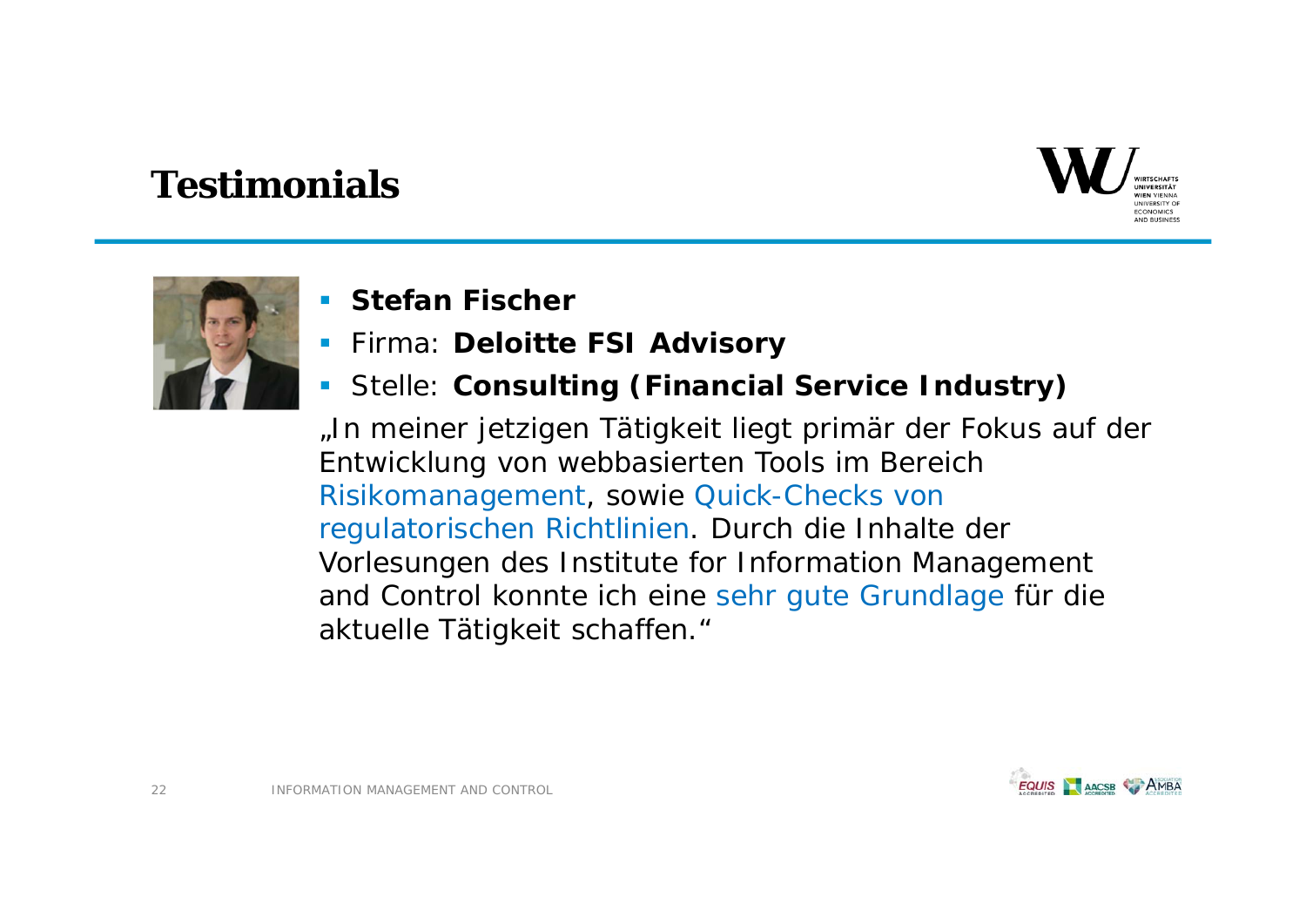![](_page_21_Picture_1.jpeg)

![](_page_21_Picture_2.jpeg)

- **Stefan Fischer**
- Firma: **Deloitte FSI Advisory**
- Stelle: **Consulting (Financial Service Industry)**

"In meiner jetzigen Tätigkeit liegt primär der Fokus auf der Entwicklung von webbasierten Tools im Bereich Risikomanagement, sowie Quick-Checks von regulatorischen Richtlinien. Durch die Inhalte der Vorlesungen des Institute for Information Management and Control konnte ich eine sehr gute Grundlage für die aktuelle Tätigkeit schaffen."

![](_page_21_Picture_7.jpeg)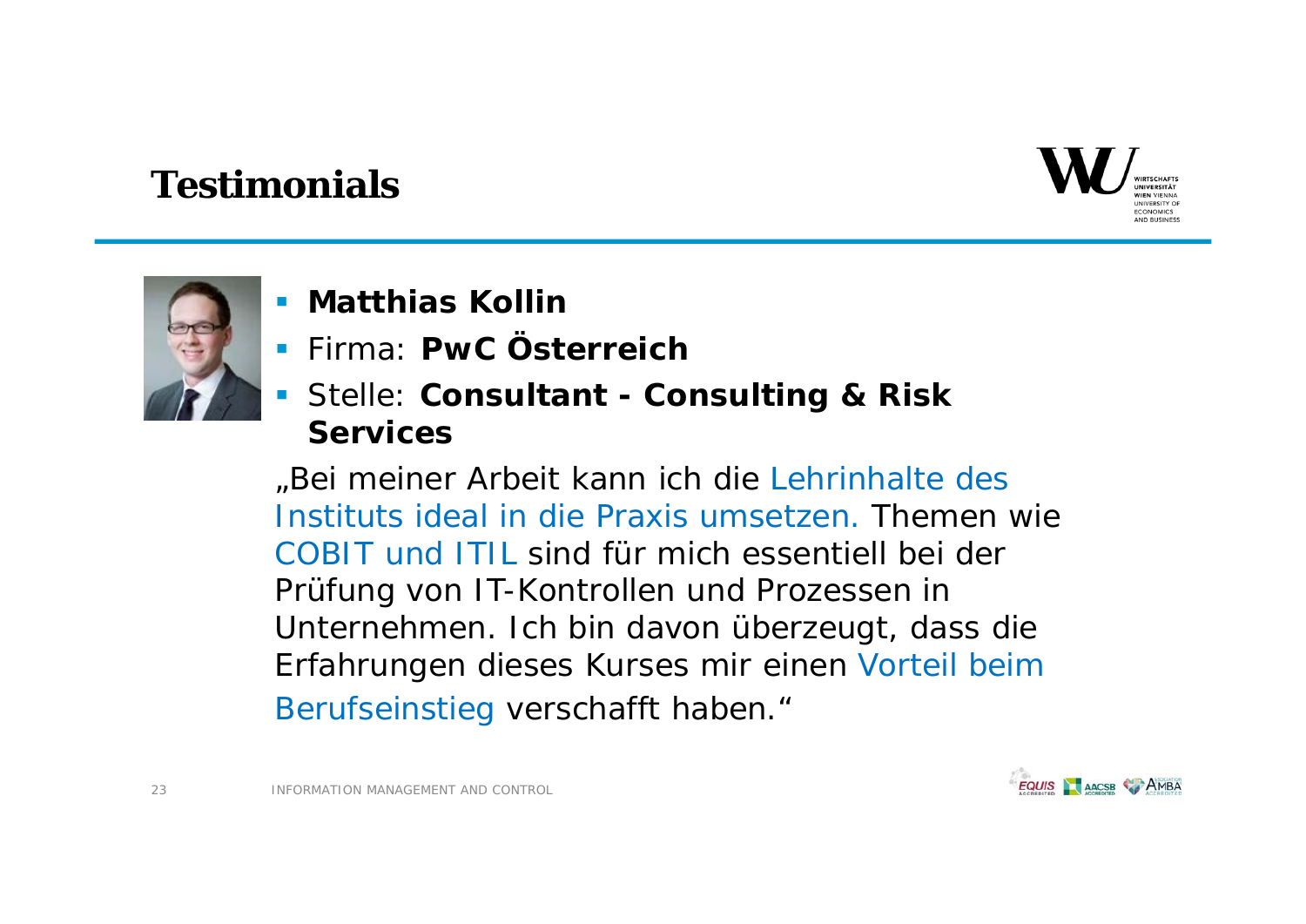![](_page_22_Picture_1.jpeg)

![](_page_22_Picture_2.jpeg)

- **K** Matthias Kollin
- Firma: **PwC Österreich**
- Stelle: **Consultant - Consulting & Risk Services**

"Bei meiner Arbeit kann ich die Lehrinhalte des Instituts ideal in die Praxis umsetzen. Themen wie COBIT und ITIL sind für mich essentiell bei der Prüfung von IT-Kontrollen und Prozessen in Unternehmen. Ich bin davon überzeugt, dass die Erfahrungen dieses Kurses mir einen Vorteil beim Berufseinstieg verschafft haben."

![](_page_22_Picture_7.jpeg)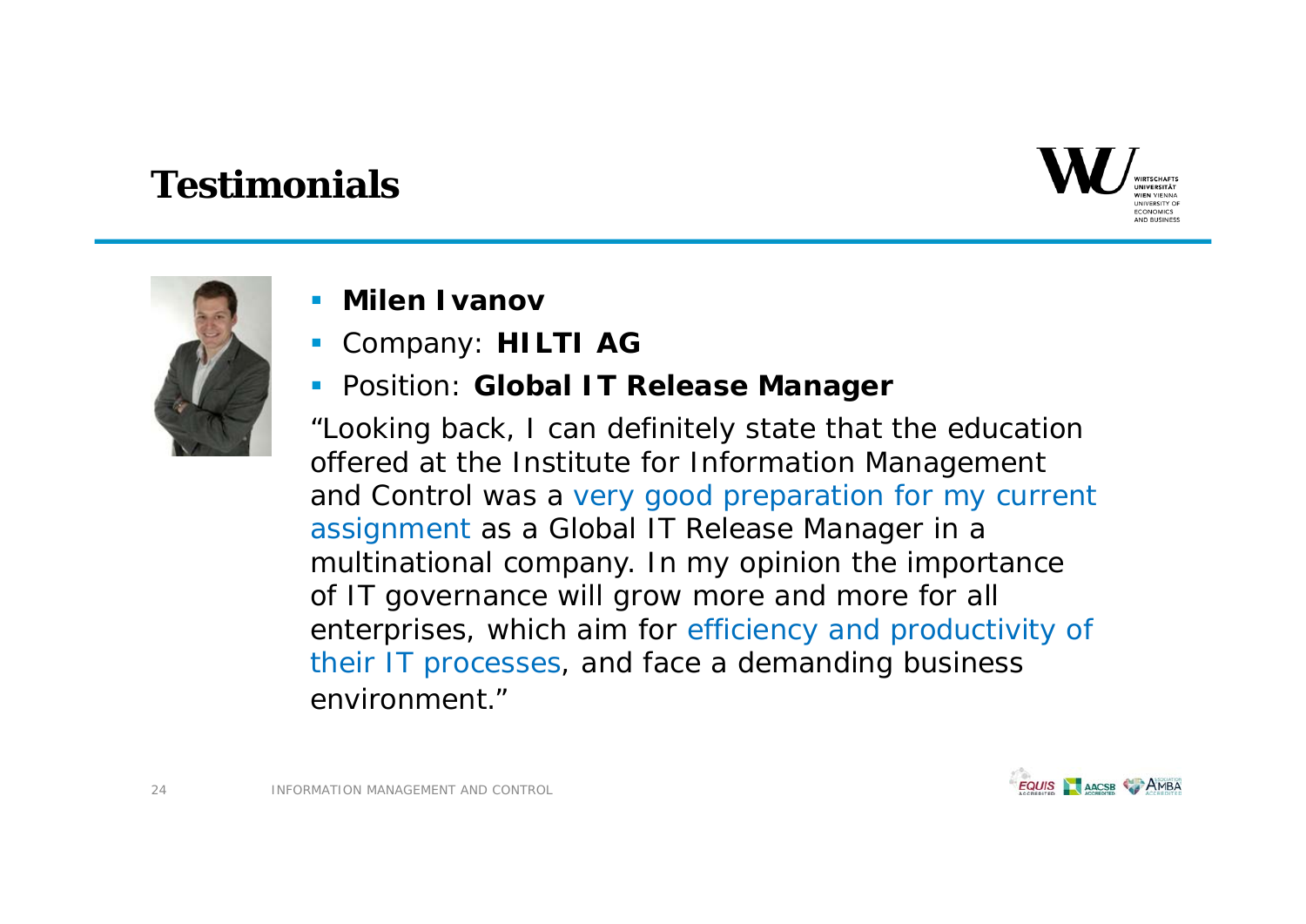![](_page_23_Picture_1.jpeg)

![](_page_23_Picture_2.jpeg)

- П **Milen Ivanov**
- П Company: **HILTI AG**

### Position: **Global IT Release Manager**

"Looking back, I can definitely state that the education offered at the Institute for Information Management and Control was a very good preparation for my current assignment as a Global IT Release Manager in a multinational company. In my opinion the importance of IT governance will grow more and more for all enterprises, which aim for efficiency and productivity of their IT processes, and face a demanding business environment."

![](_page_23_Picture_7.jpeg)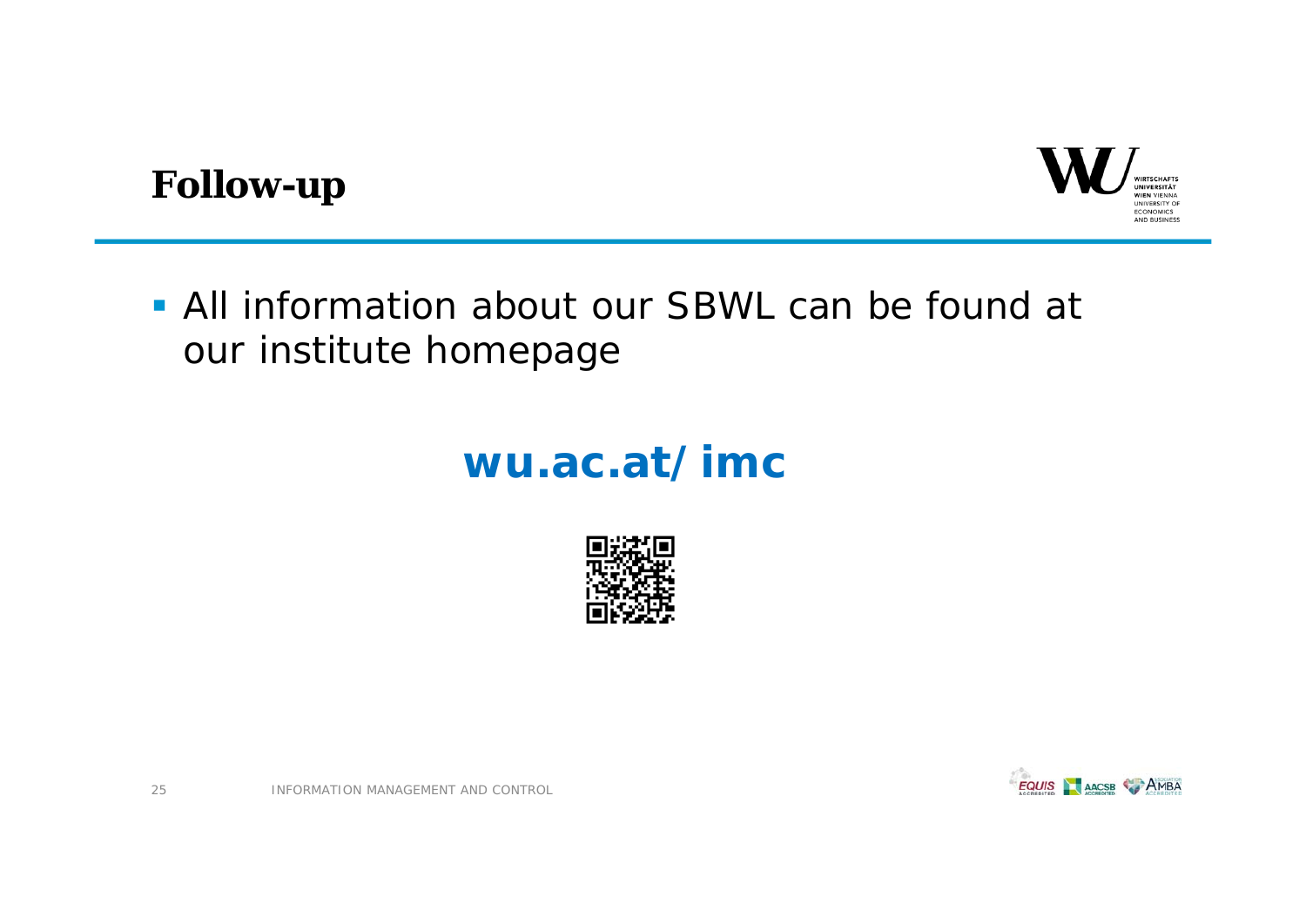![](_page_24_Picture_0.jpeg)

## **Follow-up**

 All information about our SBWL can be found at our institute homepage

# **wu.ac.at/imc**

![](_page_24_Picture_4.jpeg)

![](_page_24_Picture_5.jpeg)